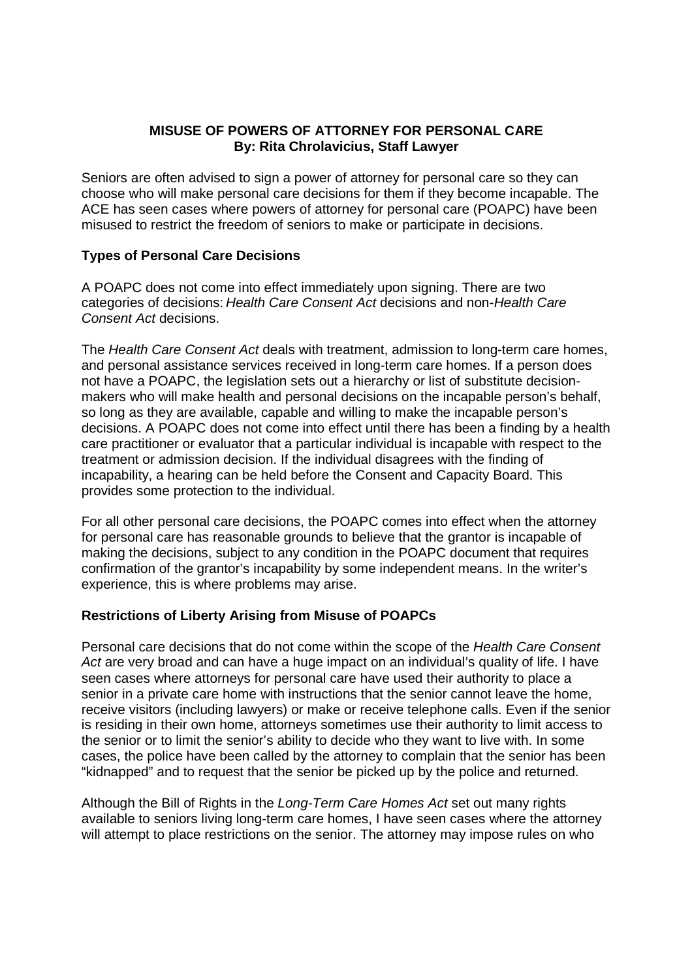# **MISUSE OF POWERS OF ATTORNEY FOR PERSONAL CARE By: Rita Chrolavicius, Staff Lawyer**

Seniors are often advised to sign a power of attorney for personal care so they can choose who will make personal care decisions for them if they become incapable. The ACE has seen cases where powers of attorney for personal care (POAPC) have been misused to restrict the freedom of seniors to make or participate in decisions.

# **Types of Personal Care Decisions**

A POAPC does not come into effect immediately upon signing. There are two categories of decisions: Health Care Consent Act decisions and non-Health Care Consent Act decisions.

The Health Care Consent Act deals with treatment, admission to long-term care homes, and personal assistance services received in long-term care homes. If a person does not have a POAPC, the legislation sets out a hierarchy or list of substitute decisionmakers who will make health and personal decisions on the incapable person's behalf, so long as they are available, capable and willing to make the incapable person's decisions. A POAPC does not come into effect until there has been a finding by a health care practitioner or evaluator that a particular individual is incapable with respect to the treatment or admission decision. If the individual disagrees with the finding of incapability, a hearing can be held before the Consent and Capacity Board. This provides some protection to the individual.

For all other personal care decisions, the POAPC comes into effect when the attorney for personal care has reasonable grounds to believe that the grantor is incapable of making the decisions, subject to any condition in the POAPC document that requires confirmation of the grantor's incapability by some independent means. In the writer's experience, this is where problems may arise.

### **Restrictions of Liberty Arising from Misuse of POAPCs**

Personal care decisions that do not come within the scope of the Health Care Consent Act are very broad and can have a huge impact on an individual's quality of life. I have seen cases where attorneys for personal care have used their authority to place a senior in a private care home with instructions that the senior cannot leave the home, receive visitors (including lawyers) or make or receive telephone calls. Even if the senior is residing in their own home, attorneys sometimes use their authority to limit access to the senior or to limit the senior's ability to decide who they want to live with. In some cases, the police have been called by the attorney to complain that the senior has been "kidnapped" and to request that the senior be picked up by the police and returned.

Although the Bill of Rights in the Long-Term Care Homes Act set out many rights available to seniors living long-term care homes, I have seen cases where the attorney will attempt to place restrictions on the senior. The attorney may impose rules on who